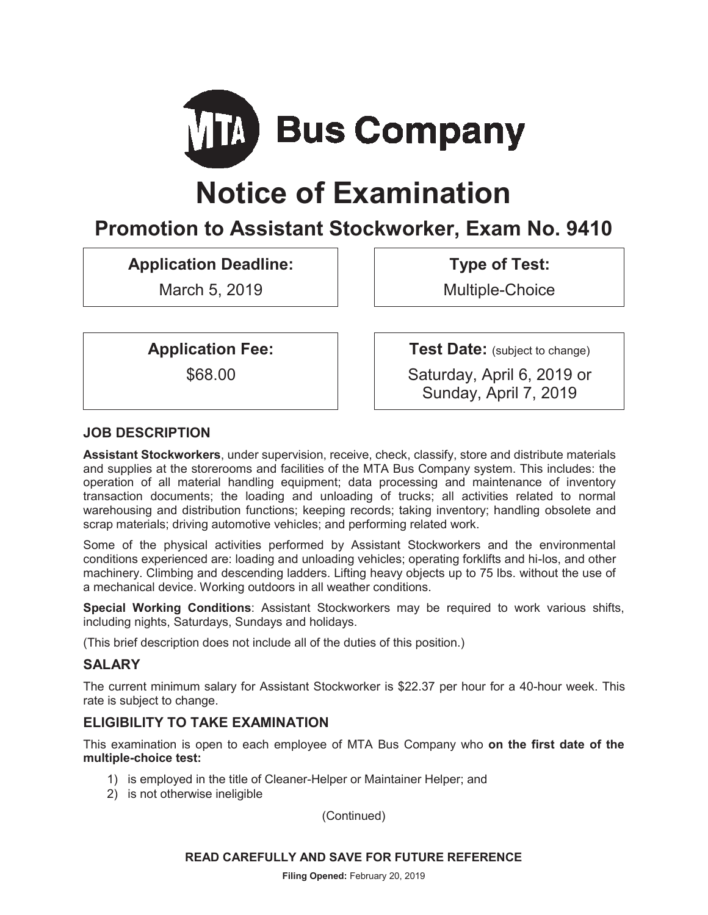

# **Notice of Examination**

# **Promotion to Assistant Stockworker, Exam No. 9410**

# **Application Deadline:**

March 5, 2019

**Type of Test:** 

Multiple-Choice

**Application Fee:** 

\$68.00

**Test Date:** (subject to change)

Saturday, April 6, 2019 or Sunday, April 7, 2019

# **JOB DESCRIPTION**

**Assistant Stockworkers**, under supervision, receive, check, classify, store and distribute materials and supplies at the storerooms and facilities of the MTA Bus Company system. This includes: the operation of all material handling equipment; data processing and maintenance of inventory transaction documents; the loading and unloading of trucks; all activities related to normal warehousing and distribution functions; keeping records; taking inventory; handling obsolete and scrap materials; driving automotive vehicles; and performing related work.

Some of the physical activities performed by Assistant Stockworkers and the environmental conditions experienced are: loading and unloading vehicles; operating forklifts and hi-los, and other machinery. Climbing and descending ladders. Lifting heavy objects up to 75 lbs. without the use of a mechanical device. Working outdoors in all weather conditions.

**Special Working Conditions**: Assistant Stockworkers may be required to work various shifts, including nights, Saturdays, Sundays and holidays.

(This brief description does not include all of the duties of this position.)

# **SALARY**

The current minimum salary for Assistant Stockworker is \$22.37 per hour for a 40-hour week. This rate is subject to change.

# **ELIGIBILITY TO TAKE EXAMINATION**

This examination is open to each employee of MTA Bus Company who **on the first date of the multiple-choice test:**

- 1) is employed in the title of Cleaner-Helper or Maintainer Helper; and
- 2) is not otherwise ineligible

(Continued)

#### **READ CAREFULLY AND SAVE FOR FUTURE REFERENCE**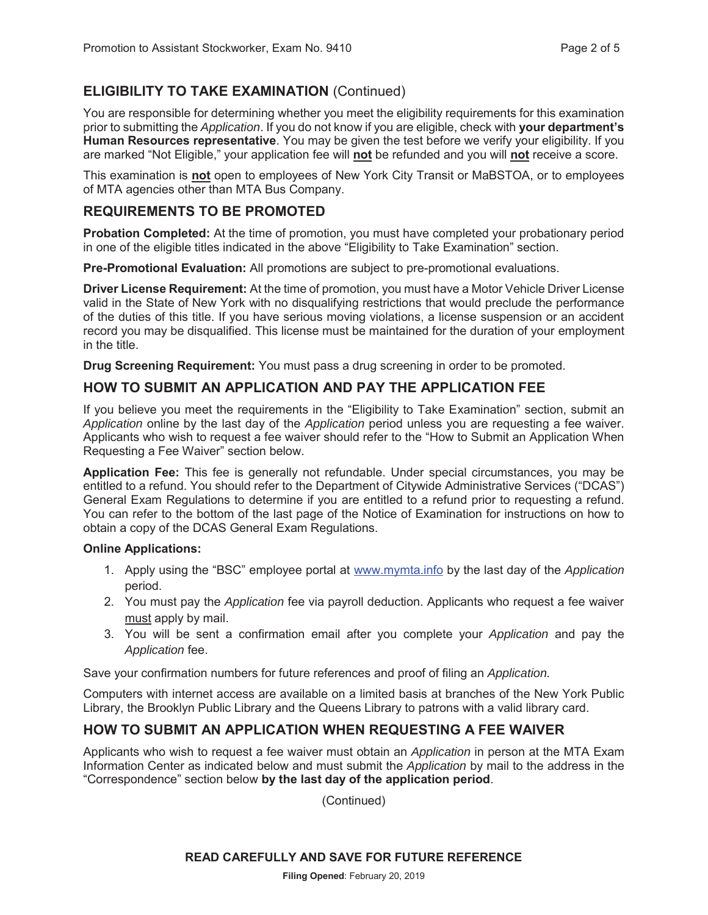# **ELIGIBILITY TO TAKE EXAMINATION** (Continued)

You are responsible for determining whether you meet the eligibility requirements for this examination prior to submitting the *Application*. If you do not know if you are eligible, check with **your department's Human Resources representative**. You may be given the test before we verify your eligibility. If you are marked "Not Eligible," your application fee will **not** be refunded and you will **not** receive a score.

This examination is **not** open to employees of New York City Transit or MaBSTOA, or to employees of MTA agencies other than MTA Bus Company.

### **REQUIREMENTS TO BE PROMOTED**

**Probation Completed:** At the time of promotion, you must have completed your probationary period in one of the eligible titles indicated in the above "Eligibility to Take Examination" section.

**Pre-Promotional Evaluation:** All promotions are subject to pre-promotional evaluations.

**Driver License Requirement:** At the time of promotion, you must have a Motor Vehicle Driver License valid in the State of New York with no disqualifying restrictions that would preclude the performance of the duties of this title. If you have serious moving violations, a license suspension or an accident record you may be disqualified. This license must be maintained for the duration of your employment in the title.

**Drug Screening Requirement:** You must pass a drug screening in order to be promoted.

### **HOW TO SUBMIT AN APPLICATION AND PAY THE APPLICATION FEE**

If you believe you meet the requirements in the "Eligibility to Take Examination" section, submit an *Application* online by the last day of the *Application* period unless you are requesting a fee waiver. Applicants who wish to request a fee waiver should refer to the "How to Submit an Application When Requesting a Fee Waiver" section below.

**Application Fee:** This fee is generally not refundable. Under special circumstances, you may be entitled to a refund. You should refer to the Department of Citywide Administrative Services ("DCAS") General Exam Regulations to determine if you are entitled to a refund prior to requesting a refund. You can refer to the bottom of the last page of the Notice of Examination for instructions on how to obtain a copy of the DCAS General Exam Regulations.

#### **Online Applications:**

- 1. Apply using the "BSC" employee portal at www.mymta.info by the last day of the *Application*  period.
- 2. You must pay the *Application* fee via payroll deduction. Applicants who request a fee waiver must apply by mail.
- 3. You will be sent a confirmation email after you complete your *Application* and pay the *Application* fee.

Save your confirmation numbers for future references and proof of filing an *Application.*

Computers with internet access are available on a limited basis at branches of the New York Public Library, the Brooklyn Public Library and the Queens Library to patrons with a valid library card.

# **HOW TO SUBMIT AN APPLICATION WHEN REQUESTING A FEE WAIVER**

Applicants who wish to request a fee waiver must obtain an *Application* in person at the MTA Exam Information Center as indicated below and must submit the *Application* by mail to the address in the "Correspondence" section below **by the last day of the application period**.

(Continued)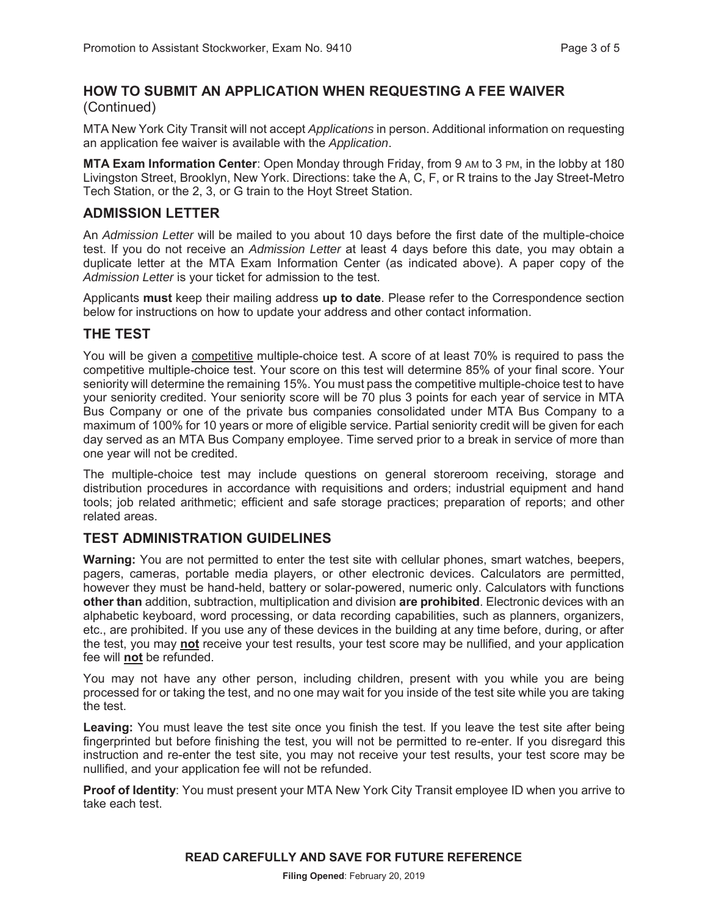#### **HOW TO SUBMIT AN APPLICATION WHEN REQUESTING A FEE WAIVER**  (Continued)

MTA New York City Transit will not accept *Applications* in person. Additional information on requesting an application fee waiver is available with the *Application*.

**MTA Exam Information Center**: Open Monday through Friday, from 9 AM to 3 PM, in the lobby at 180 Livingston Street, Brooklyn, New York. Directions: take the A, C, F, or R trains to the Jay Street-Metro Tech Station, or the 2, 3, or G train to the Hoyt Street Station.

#### **ADMISSION LETTER**

An *Admission Letter* will be mailed to you about 10 days before the first date of the multiple-choice test. If you do not receive an *Admission Letter* at least 4 days before this date, you may obtain a duplicate letter at the MTA Exam Information Center (as indicated above). A paper copy of the *Admission Letter* is your ticket for admission to the test.

Applicants **must** keep their mailing address **up to date**. Please refer to the Correspondence section below for instructions on how to update your address and other contact information.

#### **THE TEST**

You will be given a competitive multiple-choice test. A score of at least 70% is required to pass the competitive multiple-choice test. Your score on this test will determine 85% of your final score. Your seniority will determine the remaining 15%. You must pass the competitive multiple-choice test to have your seniority credited. Your seniority score will be 70 plus 3 points for each year of service in MTA Bus Company or one of the private bus companies consolidated under MTA Bus Company to a maximum of 100% for 10 years or more of eligible service. Partial seniority credit will be given for each day served as an MTA Bus Company employee. Time served prior to a break in service of more than one year will not be credited.

The multiple-choice test may include questions on general storeroom receiving, storage and distribution procedures in accordance with requisitions and orders; industrial equipment and hand tools; job related arithmetic; efficient and safe storage practices; preparation of reports; and other related areas.

#### **TEST ADMINISTRATION GUIDELINES**

**Warning:** You are not permitted to enter the test site with cellular phones, smart watches, beepers, pagers, cameras, portable media players, or other electronic devices. Calculators are permitted, however they must be hand-held, battery or solar-powered, numeric only. Calculators with functions **other than** addition, subtraction, multiplication and division **are prohibited**. Electronic devices with an alphabetic keyboard, word processing, or data recording capabilities, such as planners, organizers, etc., are prohibited. If you use any of these devices in the building at any time before, during, or after the test, you may **not** receive your test results, your test score may be nullified, and your application fee will **not** be refunded.

You may not have any other person, including children, present with you while you are being processed for or taking the test, and no one may wait for you inside of the test site while you are taking the test.

**Leaving:** You must leave the test site once you finish the test. If you leave the test site after being fingerprinted but before finishing the test, you will not be permitted to re-enter. If you disregard this instruction and re-enter the test site, you may not receive your test results, your test score may be nullified, and your application fee will not be refunded.

**Proof of Identity**: You must present your MTA New York City Transit employee ID when you arrive to take each test.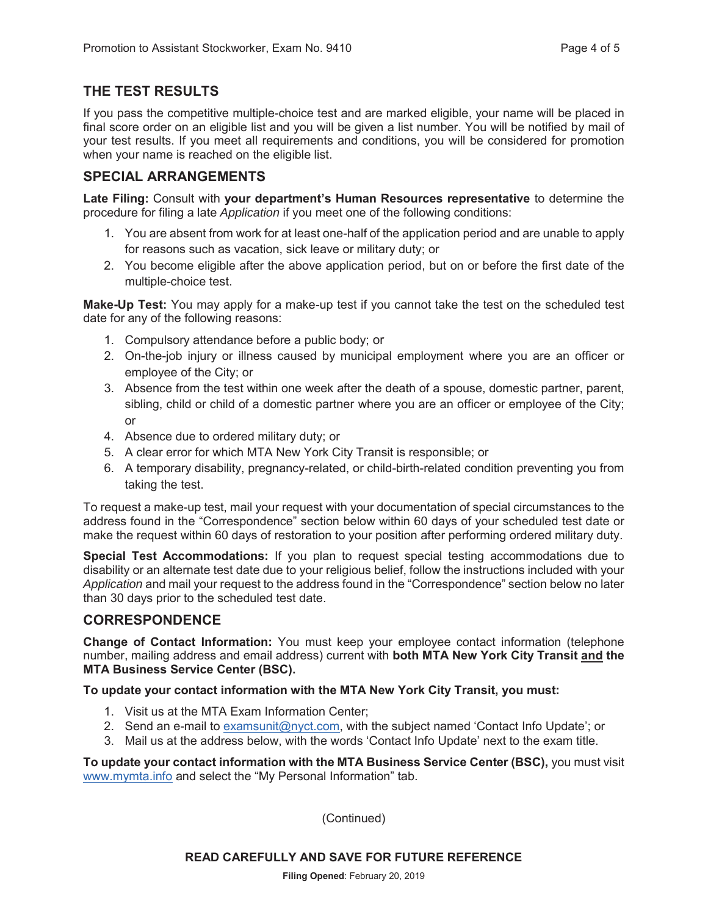# **THE TEST RESULTS**

If you pass the competitive multiple-choice test and are marked eligible, your name will be placed in final score order on an eligible list and you will be given a list number. You will be notified by mail of your test results. If you meet all requirements and conditions, you will be considered for promotion when your name is reached on the eligible list.

# **SPECIAL ARRANGEMENTS**

**Late Filing:** Consult with **your department's Human Resources representative** to determine the procedure for filing a late *Application* if you meet one of the following conditions:

- 1. You are absent from work for at least one-half of the application period and are unable to apply for reasons such as vacation, sick leave or military duty; or
- 2. You become eligible after the above application period, but on or before the first date of the multiple-choice test.

**Make-Up Test:** You may apply for a make-up test if you cannot take the test on the scheduled test date for any of the following reasons:

- 1. Compulsory attendance before a public body; or
- 2. On-the-job injury or illness caused by municipal employment where you are an officer or employee of the City; or
- 3. Absence from the test within one week after the death of a spouse, domestic partner, parent, sibling, child or child of a domestic partner where you are an officer or employee of the City; or
- 4. Absence due to ordered military duty; or
- 5. A clear error for which MTA New York City Transit is responsible; or
- 6. A temporary disability, pregnancy-related, or child-birth-related condition preventing you from taking the test.

To request a make-up test, mail your request with your documentation of special circumstances to the address found in the "Correspondence" section below within 60 days of your scheduled test date or make the request within 60 days of restoration to your position after performing ordered military duty.

**Special Test Accommodations:** If you plan to request special testing accommodations due to disability or an alternate test date due to your religious belief, follow the instructions included with your *Application* and mail your request to the address found in the "Correspondence" section below no later than 30 days prior to the scheduled test date.

#### **CORRESPONDENCE**

**Change of Contact Information:** You must keep your employee contact information (telephone number, mailing address and email address) current with **both MTA New York City Transit and the MTA Business Service Center (BSC).**

**To update your contact information with the MTA New York City Transit, you must:** 

- 1. Visit us at the MTA Exam Information Center;
- 2. Send an e-mail to examsunit@nyct.com, with the subject named 'Contact Info Update'; or
- 3. Mail us at the address below, with the words 'Contact Info Update' next to the exam title.

**To update your contact information with the MTA Business Service Center (BSC),** you must visit www.mymta.info and select the "My Personal Information" tab.

(Continued)